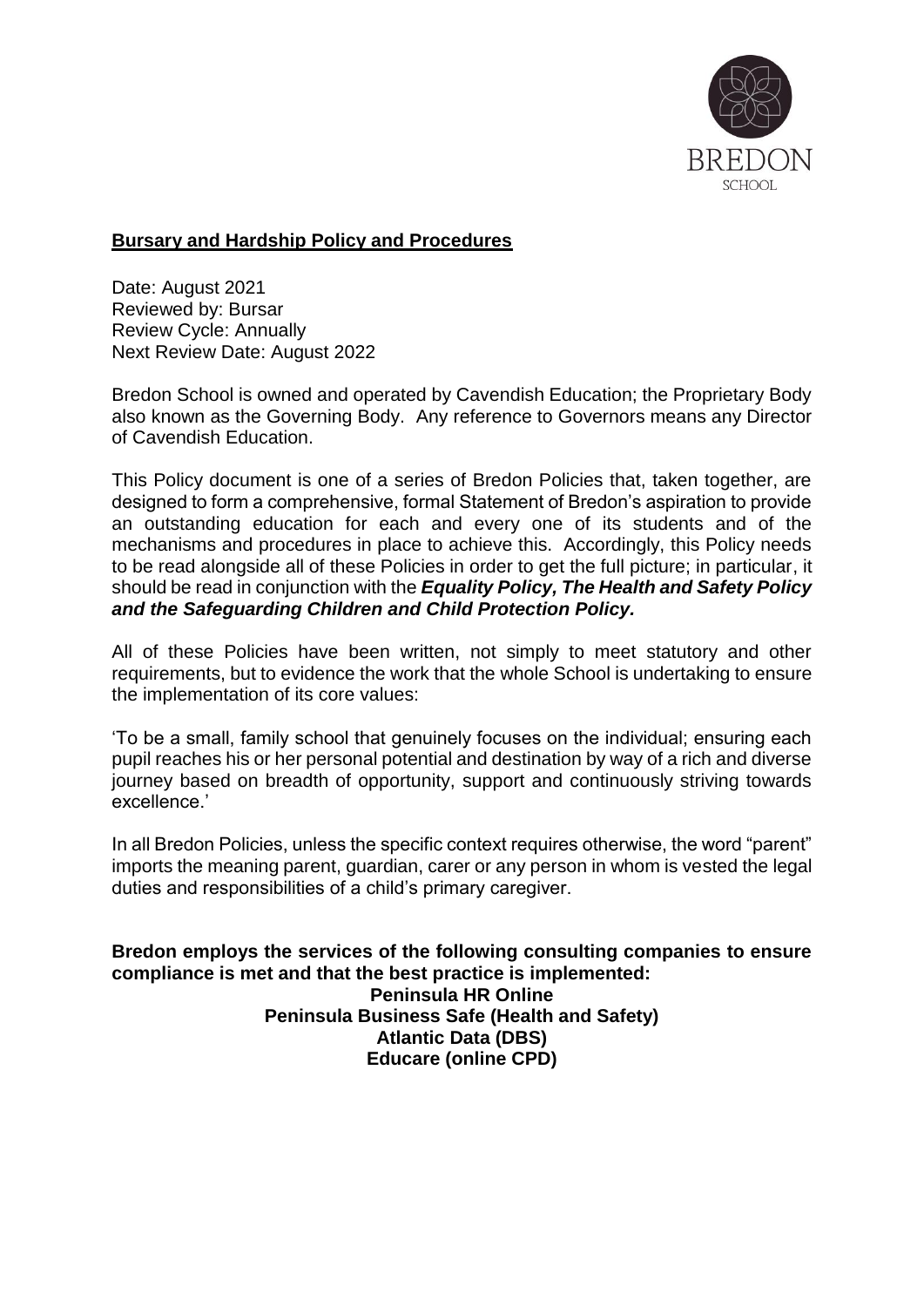

# **Bursary and Hardship Policy and Procedures**

Date: August 2021 Reviewed by: Bursar Review Cycle: Annually Next Review Date: August 2022

Bredon School is owned and operated by Cavendish Education; the Proprietary Body also known as the Governing Body. Any reference to Governors means any Director of Cavendish Education.

This Policy document is one of a series of Bredon Policies that, taken together, are designed to form a comprehensive, formal Statement of Bredon's aspiration to provide an outstanding education for each and every one of its students and of the mechanisms and procedures in place to achieve this. Accordingly, this Policy needs to be read alongside all of these Policies in order to get the full picture; in particular, it should be read in conjunction with the *Equality Policy, The Health and Safety Policy and the Safeguarding Children and Child Protection Policy.*

All of these Policies have been written, not simply to meet statutory and other requirements, but to evidence the work that the whole School is undertaking to ensure the implementation of its core values:

'To be a small, family school that genuinely focuses on the individual; ensuring each pupil reaches his or her personal potential and destination by way of a rich and diverse journey based on breadth of opportunity, support and continuously striving towards excellence.'

In all Bredon Policies, unless the specific context requires otherwise, the word "parent" imports the meaning parent, guardian, carer or any person in whom is vested the legal duties and responsibilities of a child's primary caregiver.

**Bredon employs the services of the following consulting companies to ensure compliance is met and that the best practice is implemented: Peninsula HR Online Peninsula Business Safe (Health and Safety) Atlantic Data (DBS) Educare (online CPD)**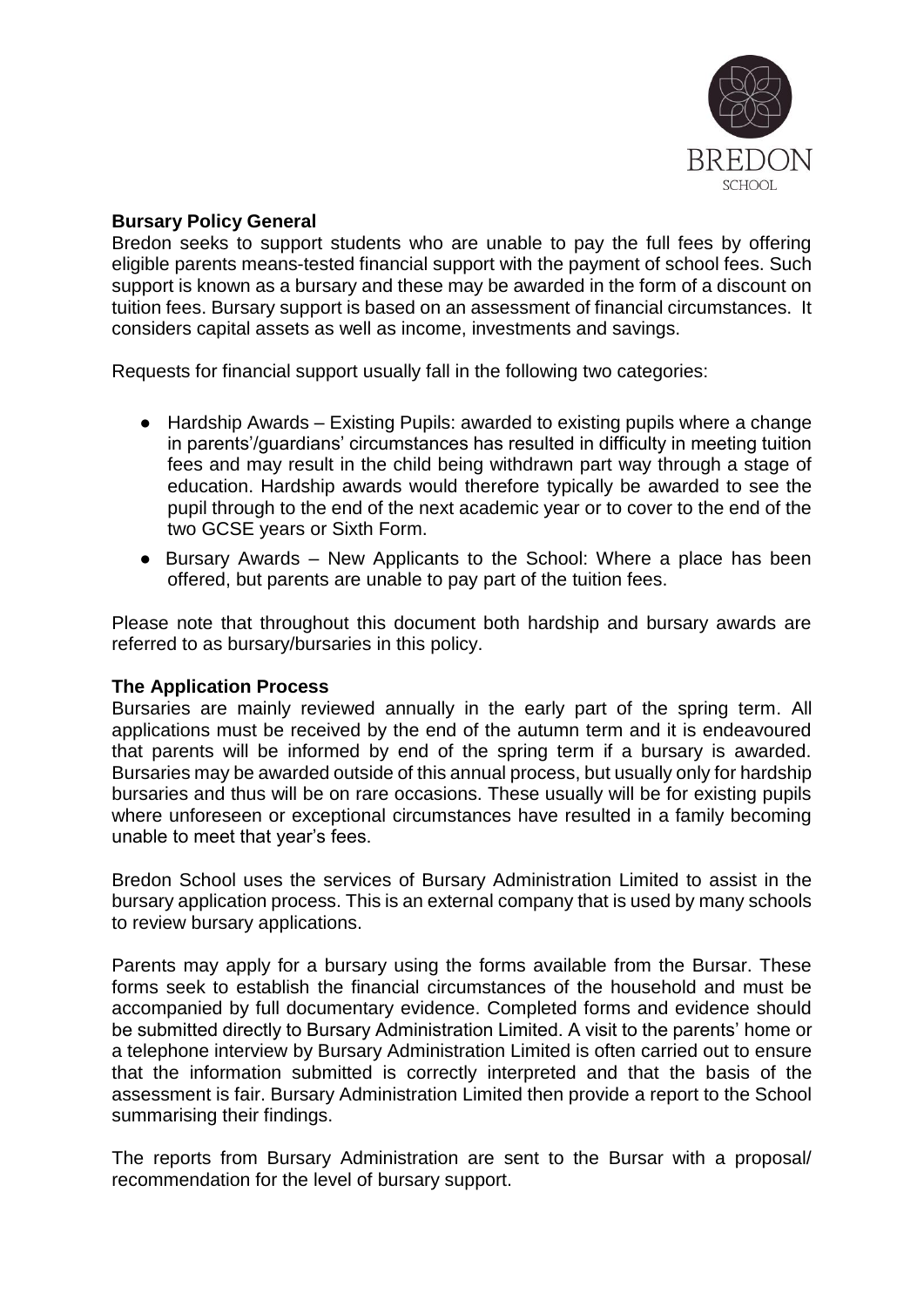

# **Bursary Policy General**

Bredon seeks to support students who are unable to pay the full fees by offering eligible parents means-tested financial support with the payment of school fees. Such support is known as a bursary and these may be awarded in the form of a discount on tuition fees. Bursary support is based on an assessment of financial circumstances. It considers capital assets as well as income, investments and savings.

Requests for financial support usually fall in the following two categories:

- Hardship Awards Existing Pupils: awarded to existing pupils where a change in parents'/guardians' circumstances has resulted in difficulty in meeting tuition fees and may result in the child being withdrawn part way through a stage of education. Hardship awards would therefore typically be awarded to see the pupil through to the end of the next academic year or to cover to the end of the two GCSE years or Sixth Form.
- Bursary Awards New Applicants to the School: Where a place has been offered, but parents are unable to pay part of the tuition fees.

Please note that throughout this document both hardship and bursary awards are referred to as bursary/bursaries in this policy.

### **The Application Process**

Bursaries are mainly reviewed annually in the early part of the spring term. All applications must be received by the end of the autumn term and it is endeavoured that parents will be informed by end of the spring term if a bursary is awarded. Bursaries may be awarded outside of this annual process, but usually only for hardship bursaries and thus will be on rare occasions. These usually will be for existing pupils where unforeseen or exceptional circumstances have resulted in a family becoming unable to meet that year's fees.

Bredon School uses the services of Bursary Administration Limited to assist in the bursary application process. This is an external company that is used by many schools to review bursary applications.

Parents may apply for a bursary using the forms available from the Bursar. These forms seek to establish the financial circumstances of the household and must be accompanied by full documentary evidence. Completed forms and evidence should be submitted directly to Bursary Administration Limited. A visit to the parents' home or a telephone interview by Bursary Administration Limited is often carried out to ensure that the information submitted is correctly interpreted and that the basis of the assessment is fair. Bursary Administration Limited then provide a report to the School summarising their findings.

The reports from Bursary Administration are sent to the Bursar with a proposal/ recommendation for the level of bursary support.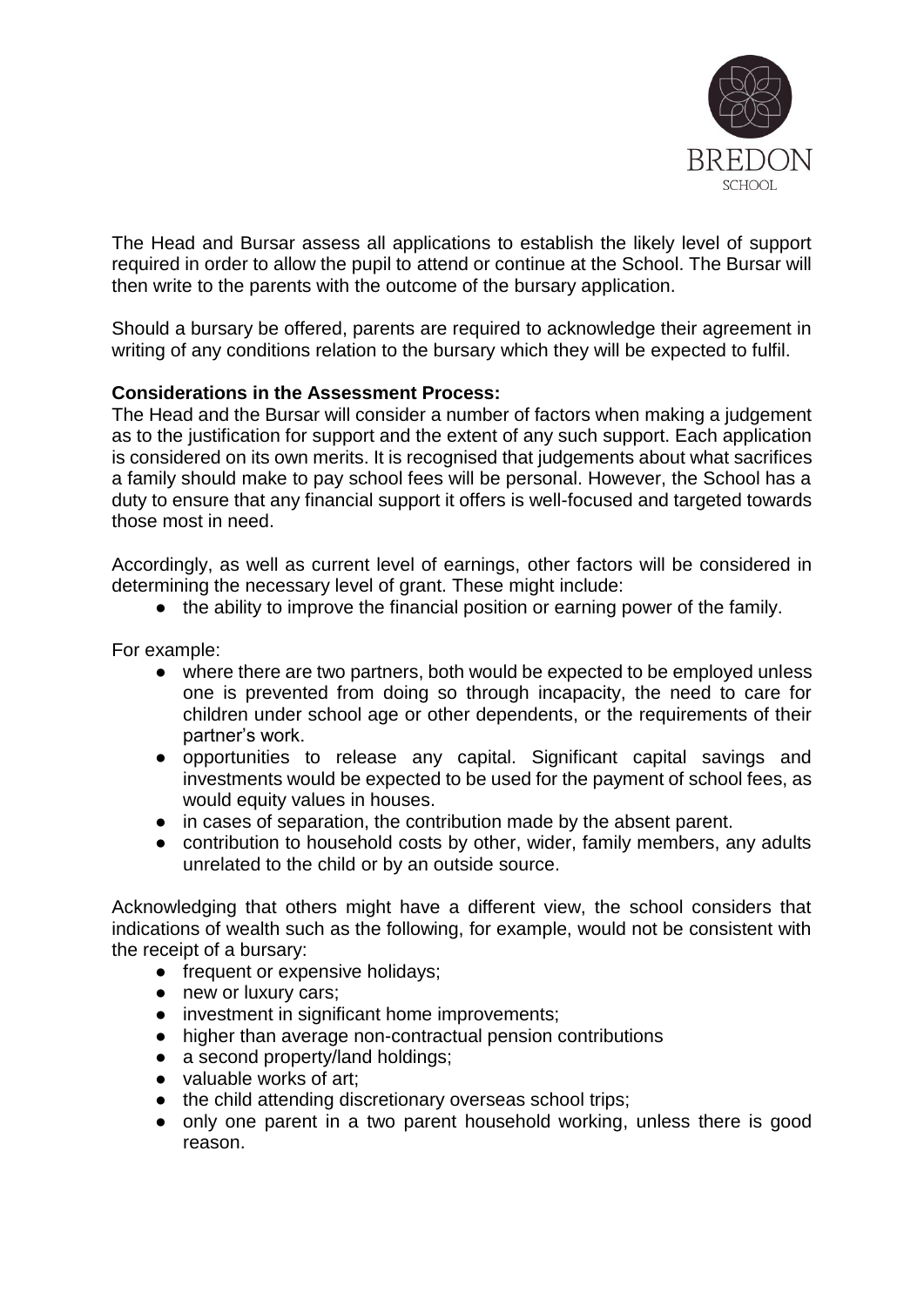

The Head and Bursar assess all applications to establish the likely level of support required in order to allow the pupil to attend or continue at the School. The Bursar will then write to the parents with the outcome of the bursary application.

Should a bursary be offered, parents are required to acknowledge their agreement in writing of any conditions relation to the bursary which they will be expected to fulfil.

## **Considerations in the Assessment Process:**

The Head and the Bursar will consider a number of factors when making a judgement as to the justification for support and the extent of any such support. Each application is considered on its own merits. It is recognised that judgements about what sacrifices a family should make to pay school fees will be personal. However, the School has a duty to ensure that any financial support it offers is well-focused and targeted towards those most in need.

Accordingly, as well as current level of earnings, other factors will be considered in determining the necessary level of grant. These might include:

● the ability to improve the financial position or earning power of the family.

For example:

- where there are two partners, both would be expected to be employed unless one is prevented from doing so through incapacity, the need to care for children under school age or other dependents, or the requirements of their partner's work.
- opportunities to release any capital. Significant capital savings and investments would be expected to be used for the payment of school fees, as would equity values in houses.
- in cases of separation, the contribution made by the absent parent.
- contribution to household costs by other, wider, family members, any adults unrelated to the child or by an outside source.

Acknowledging that others might have a different view, the school considers that indications of wealth such as the following, for example, would not be consistent with the receipt of a bursary:

- frequent or expensive holidays;
- new or luxury cars;
- investment in significant home improvements;
- higher than average non-contractual pension contributions
- a second property/land holdings;
- valuable works of art;
- the child attending discretionary overseas school trips;
- only one parent in a two parent household working, unless there is good reason.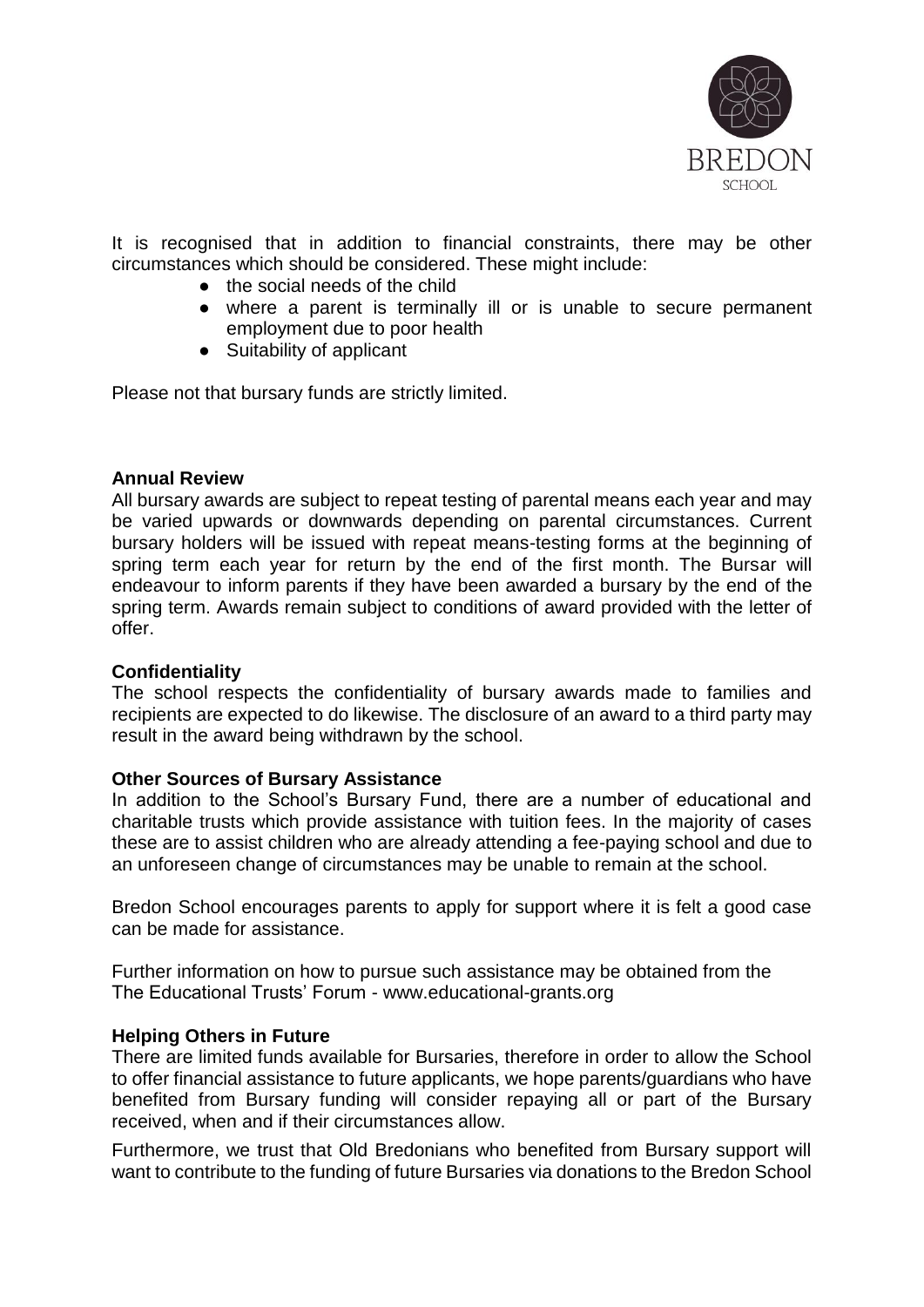

It is recognised that in addition to financial constraints, there may be other circumstances which should be considered. These might include:

- the social needs of the child
- where a parent is terminally ill or is unable to secure permanent employment due to poor health
- Suitability of applicant

Please not that bursary funds are strictly limited.

#### **Annual Review**

All bursary awards are subject to repeat testing of parental means each year and may be varied upwards or downwards depending on parental circumstances. Current bursary holders will be issued with repeat means-testing forms at the beginning of spring term each year for return by the end of the first month. The Bursar will endeavour to inform parents if they have been awarded a bursary by the end of the spring term. Awards remain subject to conditions of award provided with the letter of offer.

### **Confidentiality**

The school respects the confidentiality of bursary awards made to families and recipients are expected to do likewise. The disclosure of an award to a third party may result in the award being withdrawn by the school.

### **Other Sources of Bursary Assistance**

In addition to the School's Bursary Fund, there are a number of educational and charitable trusts which provide assistance with tuition fees. In the majority of cases these are to assist children who are already attending a fee-paying school and due to an unforeseen change of circumstances may be unable to remain at the school.

Bredon School encourages parents to apply for support where it is felt a good case can be made for assistance.

Further information on how to pursue such assistance may be obtained from the The Educational Trusts' Forum - www.educational-grants.org

### **Helping Others in Future**

There are limited funds available for Bursaries, therefore in order to allow the School to offer financial assistance to future applicants, we hope parents/guardians who have benefited from Bursary funding will consider repaying all or part of the Bursary received, when and if their circumstances allow.

Furthermore, we trust that Old Bredonians who benefited from Bursary support will want to contribute to the funding of future Bursaries via donations to the Bredon School